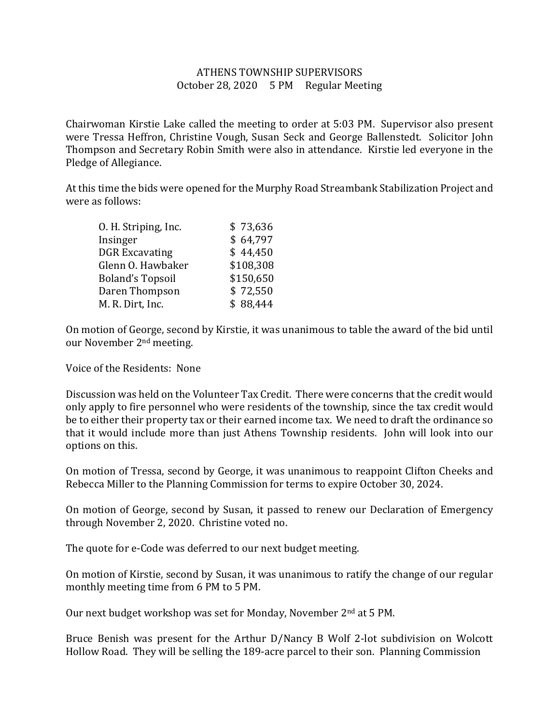## ATHENS TOWNSHIP SUPERVISORS October 28, 2020 5 PM Regular Meeting

Chairwoman Kirstie Lake called the meeting to order at 5:03 PM. Supervisor also present were Tressa Heffron, Christine Vough, Susan Seck and George Ballenstedt. Solicitor John Thompson and Secretary Robin Smith were also in attendance. Kirstie led everyone in the Pledge of Allegiance.

At this time the bids were opened for the Murphy Road Streambank Stabilization Project and were as follows:

| O. H. Striping, Inc.    | \$73,636  |
|-------------------------|-----------|
| Insinger                | \$64,797  |
| <b>DGR Excavating</b>   | \$44,450  |
| Glenn O. Hawbaker       | \$108,308 |
| <b>Boland's Topsoil</b> | \$150,650 |
| Daren Thompson          | \$72,550  |
| M. R. Dirt, Inc.        | \$88,444  |

On motion of George, second by Kirstie, it was unanimous to table the award of the bid until our November 2nd meeting.

Voice of the Residents: None

Discussion was held on the Volunteer Tax Credit. There were concerns that the credit would only apply to fire personnel who were residents of the township, since the tax credit would be to either their property tax or their earned income tax. We need to draft the ordinance so that it would include more than just Athens Township residents. John will look into our options on this.

On motion of Tressa, second by George, it was unanimous to reappoint Clifton Cheeks and Rebecca Miller to the Planning Commission for terms to expire October 30, 2024.

On motion of George, second by Susan, it passed to renew our Declaration of Emergency through November 2, 2020. Christine voted no.

The quote for e-Code was deferred to our next budget meeting.

On motion of Kirstie, second by Susan, it was unanimous to ratify the change of our regular monthly meeting time from 6 PM to 5 PM.

Our next budget workshop was set for Monday, November 2<sup>nd</sup> at 5 PM.

Bruce Benish was present for the Arthur D/Nancy B Wolf 2-lot subdivision on Wolcott Hollow Road. They will be selling the 189-acre parcel to their son. Planning Commission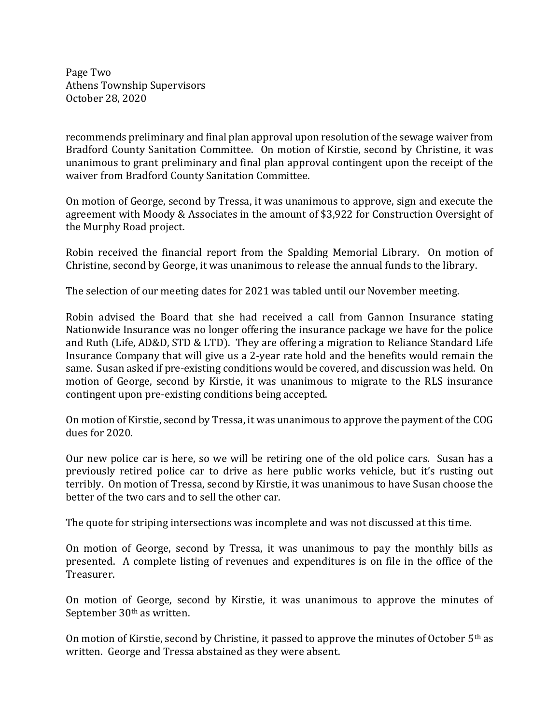Page Two Athens Township Supervisors October 28, 2020

recommends preliminary and final plan approval upon resolution of the sewage waiver from Bradford County Sanitation Committee. On motion of Kirstie, second by Christine, it was unanimous to grant preliminary and final plan approval contingent upon the receipt of the waiver from Bradford County Sanitation Committee.

On motion of George, second by Tressa, it was unanimous to approve, sign and execute the agreement with Moody & Associates in the amount of \$3,922 for Construction Oversight of the Murphy Road project.

Robin received the financial report from the Spalding Memorial Library. On motion of Christine, second by George, it was unanimous to release the annual funds to the library.

The selection of our meeting dates for 2021 was tabled until our November meeting.

Robin advised the Board that she had received a call from Gannon Insurance stating Nationwide Insurance was no longer offering the insurance package we have for the police and Ruth (Life, AD&D, STD & LTD). They are offering a migration to Reliance Standard Life Insurance Company that will give us a 2-year rate hold and the benefits would remain the same. Susan asked if pre-existing conditions would be covered, and discussion was held. On motion of George, second by Kirstie, it was unanimous to migrate to the RLS insurance contingent upon pre-existing conditions being accepted.

On motion of Kirstie, second by Tressa, it was unanimous to approve the payment of the COG dues for 2020.

Our new police car is here, so we will be retiring one of the old police cars. Susan has a previously retired police car to drive as here public works vehicle, but it's rusting out terribly. On motion of Tressa, second by Kirstie, it was unanimous to have Susan choose the better of the two cars and to sell the other car.

The quote for striping intersections was incomplete and was not discussed at this time.

On motion of George, second by Tressa, it was unanimous to pay the monthly bills as presented. A complete listing of revenues and expenditures is on file in the office of the Treasurer.

On motion of George, second by Kirstie, it was unanimous to approve the minutes of September 30<sup>th</sup> as written.

On motion of Kirstie, second by Christine, it passed to approve the minutes of October  $5<sup>th</sup>$  as written. George and Tressa abstained as they were absent.